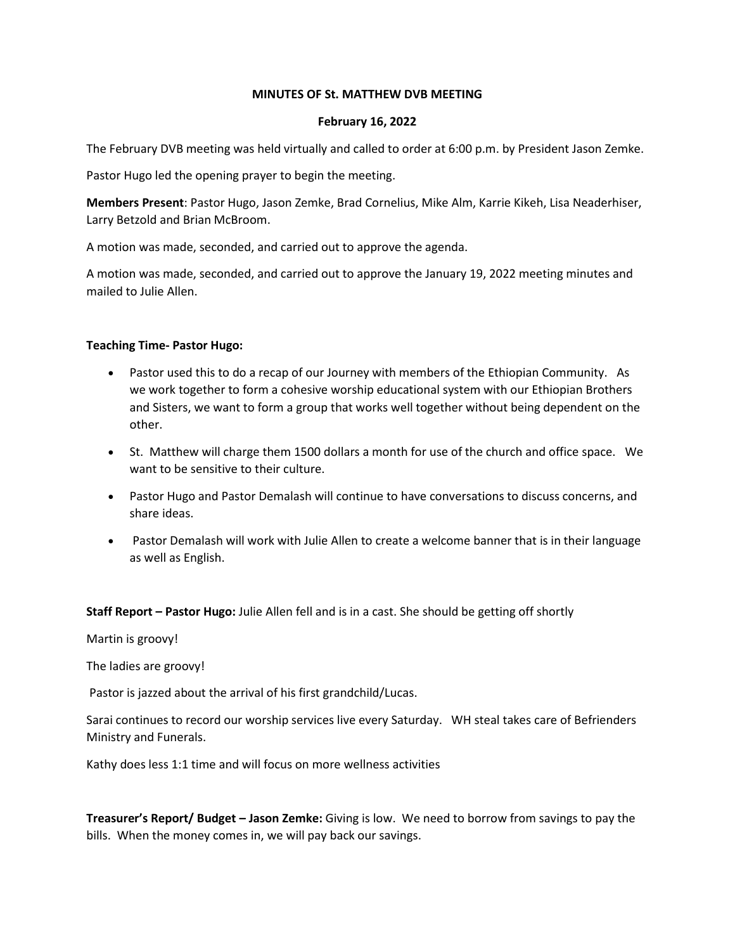## **MINUTES OF St. MATTHEW DVB MEETING**

## **February 16, 2022**

The February DVB meeting was held virtually and called to order at 6:00 p.m. by President Jason Zemke.

Pastor Hugo led the opening prayer to begin the meeting.

**Members Present**: Pastor Hugo, Jason Zemke, Brad Cornelius, Mike Alm, Karrie Kikeh, Lisa Neaderhiser, Larry Betzold and Brian McBroom.

A motion was made, seconded, and carried out to approve the agenda.

A motion was made, seconded, and carried out to approve the January 19, 2022 meeting minutes and mailed to Julie Allen.

## **Teaching Time- Pastor Hugo:**

- Pastor used this to do a recap of our Journey with members of the Ethiopian Community. As we work together to form a cohesive worship educational system with our Ethiopian Brothers and Sisters, we want to form a group that works well together without being dependent on the other.
- St. Matthew will charge them 1500 dollars a month for use of the church and office space. We want to be sensitive to their culture.
- Pastor Hugo and Pastor Demalash will continue to have conversations to discuss concerns, and share ideas.
- Pastor Demalash will work with Julie Allen to create a welcome banner that is in their language as well as English.

**Staff Report – Pastor Hugo:** Julie Allen fell and is in a cast. She should be getting off shortly

Martin is groovy!

The ladies are groovy!

Pastor is jazzed about the arrival of his first grandchild/Lucas.

Sarai continues to record our worship services live every Saturday. WH steal takes care of Befrienders Ministry and Funerals.

Kathy does less 1:1 time and will focus on more wellness activities

**Treasurer's Report/ Budget – Jason Zemke:** Giving is low. We need to borrow from savings to pay the bills. When the money comes in, we will pay back our savings.